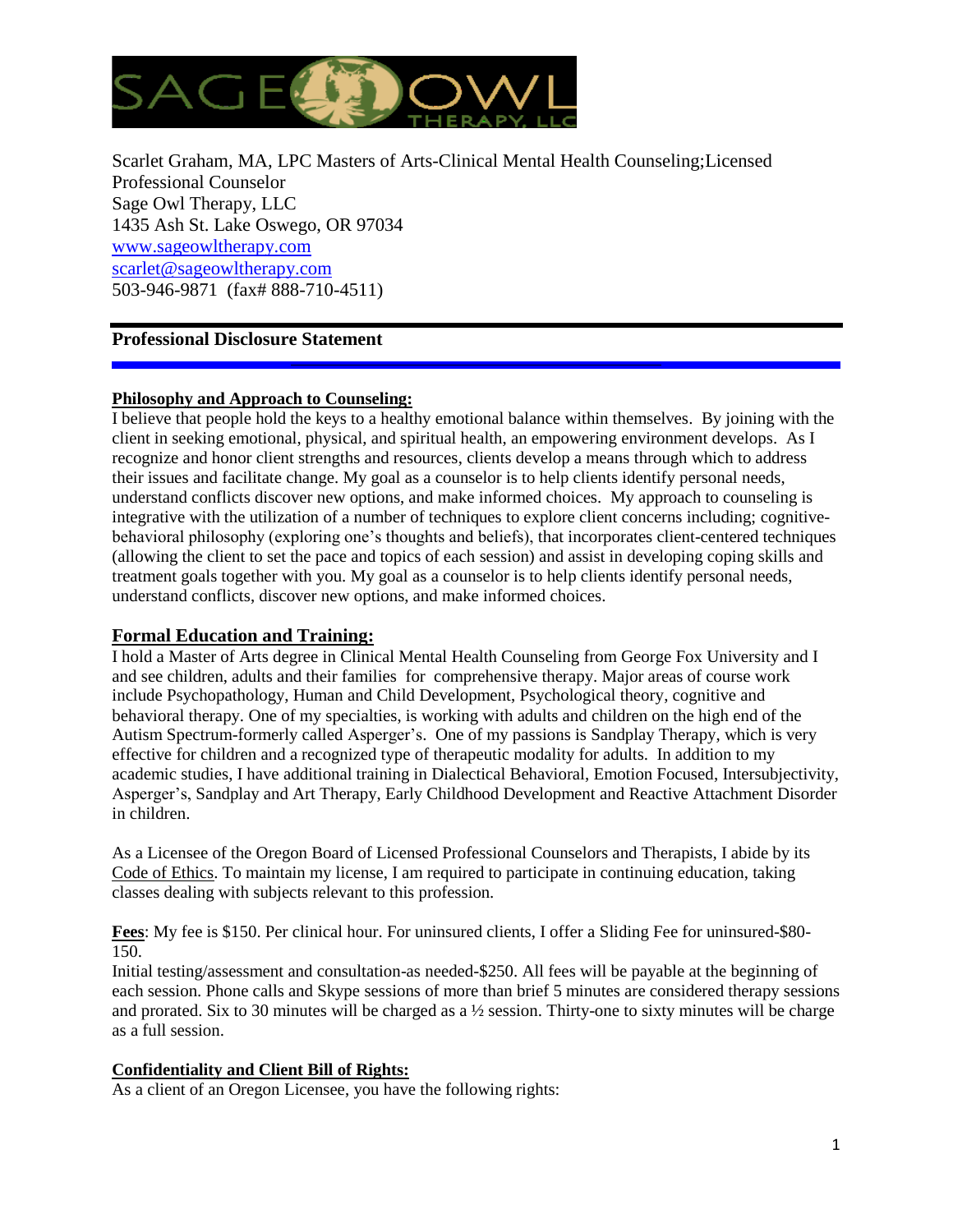

Scarlet Graham, MA, LPC Masters of Arts-Clinical Mental Health Counseling;Licensed Professional Counselor Sage Owl Therapy, LLC 1435 Ash St. Lake Oswego, OR 97034 [www.sageowltherapy.com](http://www.sageowltherapy.com/) [scarlet@sageowltherapy.com](mailto:scarlet@sageowltherapy.com)  503-946-9871 (fax# 888-710-4511)

# **Professional Disclosure Statement**

# **Philosophy and Approach to Counseling:**

I believe that people hold the keys to a healthy emotional balance within themselves. By joining with the client in seeking emotional, physical, and spiritual health, an empowering environment develops. As I recognize and honor client strengths and resources, clients develop a means through which to address their issues and facilitate change. My goal as a counselor is to help clients identify personal needs, understand conflicts discover new options, and make informed choices. My approach to counseling is integrative with the utilization of a number of techniques to explore client concerns including; cognitivebehavioral philosophy (exploring one's thoughts and beliefs), that incorporates client-centered techniques (allowing the client to set the pace and topics of each session) and assist in developing coping skills and treatment goals together with you. My goal as a counselor is to help clients identify personal needs, understand conflicts, discover new options, and make informed choices.

# **Formal Education and Training:**

I hold a Master of Arts degree in Clinical Mental Health Counseling from George Fox University and I and see children, adults and their families for comprehensive therapy. Major areas of course work include Psychopathology, Human and Child Development, Psychological theory, cognitive and behavioral therapy. One of my specialties, is working with adults and children on the high end of the Autism Spectrum-formerly called Asperger's. One of my passions is Sandplay Therapy, which is very effective for children and a recognized type of therapeutic modality for adults. In addition to my academic studies, I have additional training in Dialectical Behavioral, Emotion Focused, Intersubjectivity, Asperger's, Sandplay and Art Therapy, Early Childhood Development and Reactive Attachment Disorder in children.

As a Licensee of the Oregon Board of Licensed Professional Counselors and Therapists, I abide by its Code of Ethics. To maintain my license, I am required to participate in continuing education, taking classes dealing with subjects relevant to this profession.

**Fees**: My fee is \$150. Per clinical hour. For uninsured clients, I offer a Sliding Fee for uninsured-\$80- 150.

Initial testing/assessment and consultation-as needed-\$250. All fees will be payable at the beginning of each session. Phone calls and Skype sessions of more than brief 5 minutes are considered therapy sessions and prorated. Six to 30 minutes will be charged as a ½ session. Thirty-one to sixty minutes will be charge as a full session.

### **Confidentiality and Client Bill of Rights:**

As a client of an Oregon Licensee, you have the following rights: